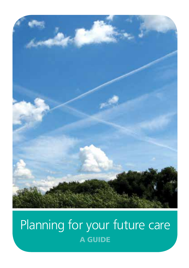

# Planning for your future care A GUIDE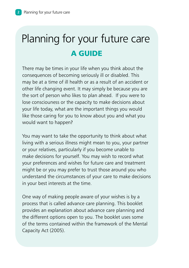# Planning for your future care A GUIDE

There may be times in your life when you think about the consequences of becoming seriously ill or disabled. This may be at a time of ill health or as a result of an accident or other life changing event. It may simply be because you are the sort of person who likes to plan ahead. If you were to lose consciouness or the capacity to make decisions about your life today, what are the important things you would like those caring for you to know about you and what you would want to happen?

You may want to take the opportunity to think about what living with a serious illness might mean to you, your partner or your relatives, particularly if you become unable to make decisions for yourself. You may wish to record what your preferences and wishes for future care and treatment might be or you may prefer to trust those around you who understand the circumstances of your care to make decisions in your best interests at the time.

One way of making people aware of your wishes is by a process that is called advance care planning. This booklet provides an explanation about advance care planning and the different options open to you. The booklet uses some of the terms contained within the framework of the Mental Capacity Act (2005).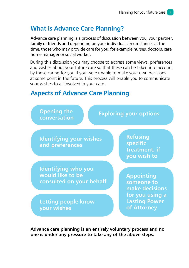# **What is Advance Care Planning?**

Advance care planning is a process of discussion between you, your partner, family or friends and depending on your individual circumstances at the time, those who may provide care for you, for example nurses, doctors, care home manager or social worker.

During this discussion you may choose to express some views, preferences and wishes about your future care so that these can be taken into account by those caring for you if you were unable to make your own decisions at some point in the future. This process will enable you to communicate your wishes to all involved in your care.

# **Aspects of Advance Care Planning**



**Advance care planning is an entirely voluntary process and no one is under any pressure to take any of the above steps.**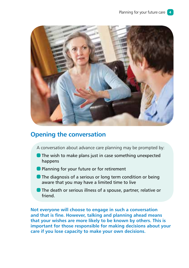

## **Opening the conversation**

- A conversation about advance care planning may be prompted by:
- **O** The wish to make plans just in case something unexpected happens
- **Planning for your future or for retirement**
- **The diagnosis of a serious or long term condition or being** aware that you may have a limited time to live
- The death or serious illness of a spouse, partner, relative or friend.

**Not everyone will choose to engage in such a conversation and that is fine. However, talking and planning ahead means that your wishes are more likely to be known by others. This is important for those responsible for making decisions about your care if you lose capacity to make your own decisions.**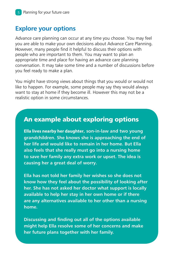## **Explore your options**

Advance care planning can occur at any time you choose. You may feel you are able to make your own decisions about Advance Care Planning. However, many people find it helpful to discuss their options with people who are important to them. You may want to plan an appropriate time and place for having an advance care planning conversation. It may take some time and a number of discussions before you feel ready to make a plan.

You might have strong views about things that you would or would not like to happen. For example, some people may say they would always want to stay at home if they become ill. However this may not be a realistic option in some circumstances.

## An example about exploring options

**Ella lives nearby her daughter, son-in-law and two young grandchildren. She knows she is approaching the end of her life and would like to remain in her home. But Ella also feels that she really must go into a nursing home to save her family any extra work or upset. The idea is causing her a great deal of worry.**

**Ella has not told her family her wishes so she does not know how they feel about the possibility of looking after her. She has not asked her doctor what support is locally available to help her stay in her own home or if there are any alternatives available to her other than a nursing home.**

**Discussing and finding out all of the options available might help Ella resolve some of her concerns and make her future plans together with her family.**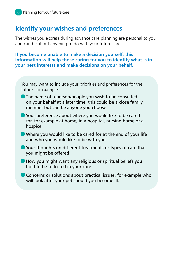# **Identify your wishes and preferences**

The wishes you express during advance care planning are personal to you and can be about anything to do with your future care.

#### **If you become unable to make a decision yourself, this information will help those caring for you to identify what is in your best interests and make decisions on your behalf.**

You may want to include your priorities and preferences for the future, for example:

- **O** The name of a person/people you wish to be consulted on your behalf at a later time; this could be a close family member but can be anyone you choose
- **O** Your preference about where you would like to be cared for, for example at home, in a hospital, nursing home or a hospice
- **O** Where you would like to be cared for at the end of your life and who you would like to be with you
- Your thoughts on different treatments or types of care that you might be offered
- **O** How you might want any religious or spiritual beliefs you hold to be reflected in your care
- Concerns or solutions about practical issues, for example who will look after your pet should you become ill.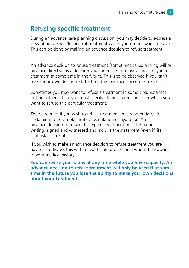## **Refusing specific treatment**

During an advance care planning discussion, you may decide to express a view about a specific medical treatment which you do not want to have. This can be done by making an advance decision to refuse treatment.

An advance decision to refuse treatment (sometimes called a living will or advance directive) is a decision you can make to refuse a specific type of treatment at some time in the future. This is to be observed if you can't make your own decision at the time the treatment becomes relevant.

Sometimes you may want to refuse a treatment in some circumstances but not others. If so, you must specify all the circumstances in which you want to refuse this particular treatment.

There are rules if you wish to refuse treatment that is potentially life sustaining, for example, artificial ventilation or hydration. An advance decision to refuse this type of treatment must be put in writing, signed and witnessed and include the statement 'even if life is at risk as a result'.

If you wish to make an advance decision to refuse treatment you are advised to discuss this with a health care professional who is fully aware of your medical history.

**You can revise your plans at any time while you have capacity. An advance decision to refuse treatment will only be used if at some time in the future you lose the ability to make your own decisions about your treatment.**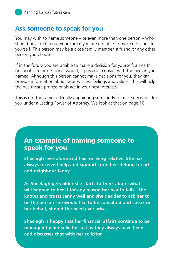## **Ask someone to speak for you**

You may wish to name someone – or even more than one person – who should be asked about your care if you are not able to make decisions for yourself. This person may be a close family member, a friend or any other person you choose.

If in the future you are unable to make a decision for yourself, a health or social care professional would, if possible, consult with the person you named. Although this person cannot make decisions for you, they can provide information about your wishes, feelings and values. This will help the healthcare professionals act in your best interests.

This is not the same as legally appointing somebody to make decisions for you under a Lasting Power of Attorney. We look at that on page 10.

# An example of naming someone to speak for you

**Sheelagh lives alone and has no living relative. She has always received help and support from her lifelong friend and neighbour Jenny.**

**As Sheelagh gets older she starts to think about what will happen to her if for any reason her health fails. She knows and trusts Jenny well and she decides to ask her to be the person she would like to be consulted and speak on her behalf, should the need ever arise.**

**Sheelagh is happy that her financial affairs continue to be managed by her solicitor just as they always have been, and discusses that with her solicitor.**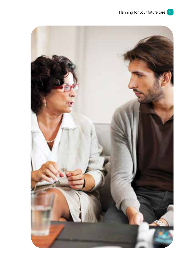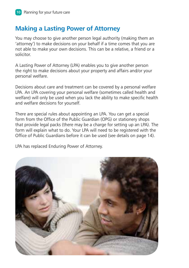# **Making a Lasting Power of Attorney**

You may choose to give another person legal authority (making them an 'attorney') to make decisions on your behalf if a time comes that you are not able to make your own decisions. This can be a relative, a friend or a solicitor.

A Lasting Power of Attorney (LPA) enables you to give another person the right to make decisions about your property and affairs and/or your personal welfare.

Decisions about care and treatment can be covered by a personal welfare LPA. An LPA covering your personal welfare (sometimes called health and welfare) will only be used when you lack the ability to make specific health and welfare decisions for yourself.

There are special rules about appointing an LPA. You can get a special form from the Office of the Public Guardian (OPG) or stationery shops that provide legal packs (there may be a charge for setting up an LPA). The form will explain what to do. Your LPA will need to be registered with the Office of Public Guardians before it can be used (see details on page 14).

LPA has replaced Enduring Power of Attorney.

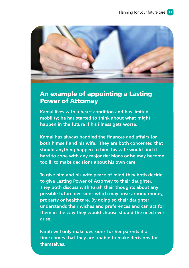

## An example of appointing a Lasting Power of Attorney

**Kamal lives with a heart condition and has limited mobility; he has started to think about what might happen in the future if his illness gets worse.**

**Kamal has always handled the finances and affairs for both himself and his wife. They are both concerned that should anything happen to him, his wife would find it hard to cope with any major decisions or he may become too ill to make decisions about his own care.**

**To give him and his wife peace of mind they both decide to give Lasting Power of Attorney to their daughter. They both discuss with Farah their thoughts about any possible future decisions which may arise around money, property or healthcare. By doing so their daughter understands their wishes and preferences and can act for them in the way they would choose should the need ever arise.**

**Farah will only make decisions for her parents if a time comes that they are unable to make decisions for themselves.**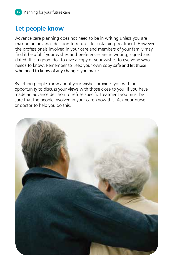# **Let people know**

Advance care planning does not need to be in writing unless you are making an advance decision to refuse life sustaining treatment. However the professionals involved in your care and members of your family may find it helpful if your wishes and preferences are in writing, signed and dated. It is a good idea to give a copy of your wishes to everyone who needs to know. Remember to keep your own copy safe and let those who need to know of any changes you make.

By letting people know about your wishes provides you with an opportunity to discuss your views with those close to you. If you have made an advance decision to refuse specific treatment you must be sure that the people involved in your care know this. Ask your nurse or doctor to help you do this.

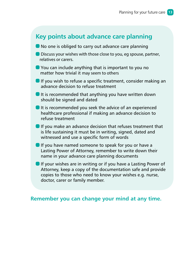## **Key points about advance care planning**

- **O** No one is obliged to carry out advance care planning
- **O** Discuss your wishes with those close to you, eg spouse, partner, relatives or carers.
- **O** You can include anything that is important to you no matter how trivial it may seem to others
- $\blacksquare$  If you wish to refuse a specific treatment, consider making an advance decision to refuse treatment
- $\blacksquare$  It is recommended that anything you have written down should be signed and dated
- $\blacksquare$  It is recommended you seek the advice of an experienced healthcare professional if making an advance decision to refuse treatment
- $\blacksquare$  If you make an advance decision that refuses treatment that is life sustaining it must be in writing, signed, dated and witnessed and use a specific form of words
- If you have named someone to speak for you or have a Lasting Power of Attorney, remember to write down their name in your advance care planning documents
- If your wishes are in writing or if you have a Lasting Power of Attorney, keep a copy of the documentation safe and provide copies to those who need to know your wishes e.g. nurse, doctor, carer or family member.

**Remember you can change your mind at any time.**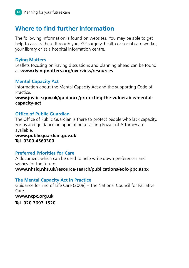# **Where to find further information**

The following information is found on websites. You may be able to get help to access these through your GP surgery, health or social care worker, your library or at a hospital information centre.

## **Dying Matters**

Leaflets focusing on having discussions and planning ahead can be found at**<www.dyingmatters.org/overview/resources>**

## **Mental Capacity Act**

Information about the Mental Capacity Act and the supporting Code of Practice.

**[www.justice.gov.uk/guidance/protecting-the-vulnerable/mental](www.justice.gov.uk/guidance/protecting-the-vulnerable/mental-capacity-act)[capacity-act](www.justice.gov.uk/guidance/protecting-the-vulnerable/mental-capacity-act)**

## **Office of Public Guardian**

The Office of Public Guardian is there to protect people who lack capacity. Forms and guidance on appointing a Lasting Power of Attorney are available.

**[www.publicguardian.gov.uk](http://www.publicguardian.gov.uk)  Tel. 0300 4560300**

## **Preferred Priorities for Care**

A document which can be used to help write down preferences and wishes for the future. **[www.](http://www.endoflifecareforadults.nhs.uk/tools/core-tools/preferredprioritiesforcare)nhsiq.nhs.uk/resource-search/publications/eolc-ppc.aspx**

**The Mental Capacity Act in Practice**

Guidance for End of Life Care (2008) – The National Council for Palliative Care.

**<www.ncpc.org.uk> Tel. 020 7697 1520**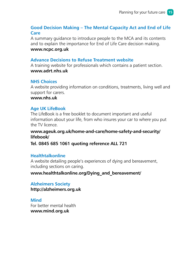## **Good Decision Making – The Mental Capacity Act and End of Life Care**

A summary guidance to introduce people to the MCA and its contents and to explain the importance for End of Life Care decision making. **<www.ncpc.org.uk>**

#### **Advance Decisions to Refuse Treatment website**

A training website for professionals which contains a patient section. **<www.adrt.nhs.uk>**

## **NHS Choices**

A website providing information on conditions, treatments, living well and support for carers.

**[www.nhs.uk](www.nhs.uk )** 

#### **Age UK LifeBook**

The LifeBook is a free booklet to document important and useful information about your life, from who insures your car to where you put the TV licence.

#### **[www.ageuk.org.uk/home-and-care/home-safety-and-security/](www.ageuk.org.uk/home-and-care/home-safety-and-security/lifebook/) [lifebook/](www.ageuk.org.uk/home-and-care/home-safety-and-security/lifebook/)**

**Tel. 0845 685 1061 quoting reference ALL 721**

## **Healthtalkonline**

A website detailing people's experiences of dying and bereavement, including sections on caring.

**[www.healthtalkonline.org/Dying\\_and\\_bereavement/](www.healthtalkonline.org/Dying_and_bereavement/)** 

## **Alzheimers Society**

**http://alzheimers.org.uk**

## **Mind**

For better mental health **www.mind.org.uk**